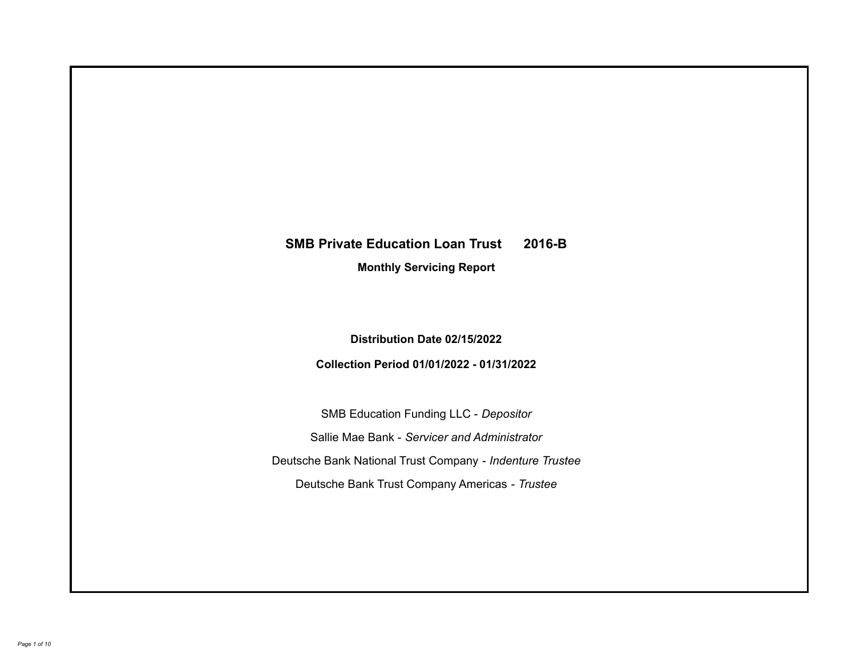# **SMB Private Education Loan Trust 2016-B**

**Monthly Servicing Report**

**Distribution Date 02/15/2022**

**Collection Period 01/01/2022 - 01/31/2022**

SMB Education Funding LLC - *Depositor* Sallie Mae Bank - *Servicer and Administrator* Deutsche Bank National Trust Company - *Indenture Trustee* Deutsche Bank Trust Company Americas - *Trustee*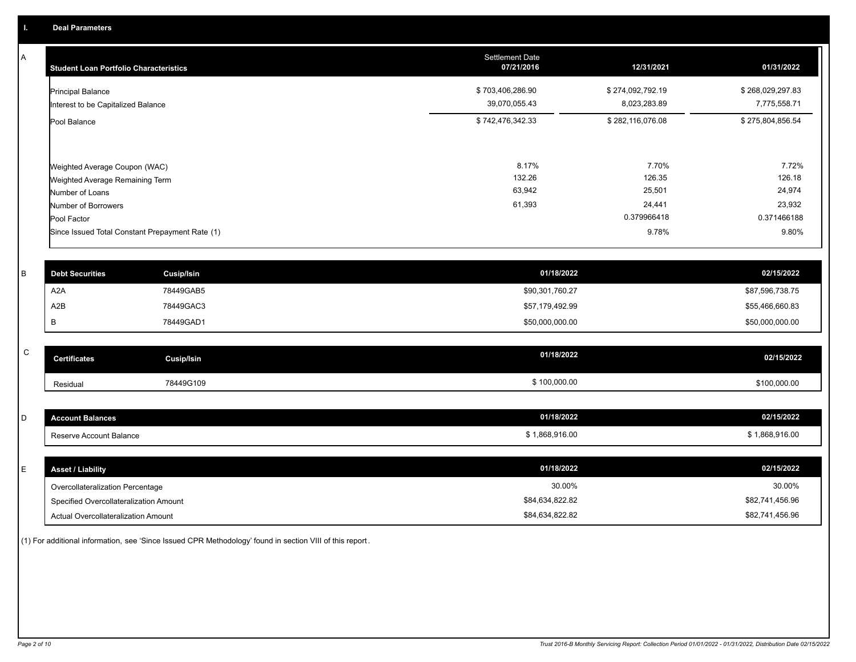A

| <b>Student Loan Portfolio Characteristics</b>                    | <b>Settlement Date</b><br>07/21/2016 | 12/31/2021                       | 01/31/2022                       |
|------------------------------------------------------------------|--------------------------------------|----------------------------------|----------------------------------|
| <b>Principal Balance</b><br>Interest to be Capitalized Balance   | \$703,406,286.90<br>39,070,055.43    | \$274,092,792.19<br>8,023,283.89 | \$268,029,297.83<br>7,775,558.71 |
| Pool Balance                                                     | \$742,476,342.33                     | \$282,116,076.08                 | \$275,804,856.54                 |
| Weighted Average Coupon (WAC)<br>Weighted Average Remaining Term | 8.17%<br>132.26                      | 7.70%<br>126.35                  | 7.72%<br>126.18                  |
| Number of Loans                                                  | 63,942                               | 25,501                           | 24,974                           |
| Number of Borrowers                                              | 61,393                               | 24,441                           | 23,932                           |
| Pool Factor                                                      |                                      | 0.379966418                      | 0.371466188                      |
| Since Issued Total Constant Prepayment Rate (1)                  |                                      | 9.78%                            | 9.80%                            |

| <b>Debt Securities</b> | <b>Cusip/Isin</b> | 01/18/2022      | 02/15/2022      |
|------------------------|-------------------|-----------------|-----------------|
| A <sub>2</sub> A       | 78449GAB5         | \$90,301,760.27 | \$87,596,738.75 |
| A2B                    | 78449GAC3         | \$57,179,492.99 | \$55,466,660.83 |
|                        | 78449GAD1         | \$50,000,000.00 | \$50,000,000.00 |

| $\sim$<br>ັ | <b>Certificates</b> | Cusip/Isin | 01/18/2022   | 02/15/2022   |
|-------------|---------------------|------------|--------------|--------------|
|             | Residual            | 78449G109  | \$100,000.00 | \$100,000.00 |

| - | <b>Account Balances</b> | 01/18/2022                     | 02/15/2022  |
|---|-------------------------|--------------------------------|-------------|
|   | Reserve Account Balance | $A$ 0.00 $\pm$<br>1,868,916.00 | .868,916.00 |

| <b>Asset / Liability</b>               | 01/18/2022      | 02/15/2022      |
|----------------------------------------|-----------------|-----------------|
| Overcollateralization Percentage       | 30.00%          | 30.00%          |
| Specified Overcollateralization Amount | \$84,634,822.82 | \$82,741,456.96 |
| Actual Overcollateralization Amount    | \$84,634,822.82 | \$82,741,456.96 |

(1) For additional information, see 'Since Issued CPR Methodology' found in section VIII of this report .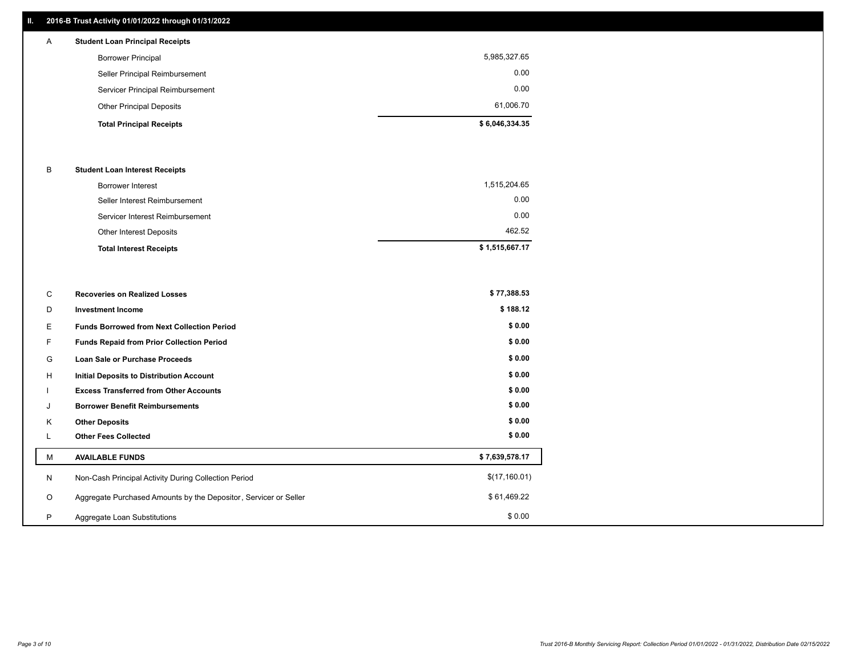## **II. 2016-B Trust Activity 01/01/2022 through 01/31/2022**

## **Total Principal Receipts \$ 6,046,334.35**  Other Principal Deposits 61,006.70 Servicer Principal Reimbursement 0.00 Seller Principal Reimbursement 0.00 Borrower Principal 5,985,327.65 A **Student Loan Principal Receipts**

### B **Student Loan Interest Receipts**

| <b>Total Interest Receipts</b>  | \$1,515,667.17 |
|---------------------------------|----------------|
| Other Interest Deposits         | 462.52         |
| Servicer Interest Reimbursement | 0.00           |
| Seller Interest Reimbursement   | 0.00           |
| <b>Borrower Interest</b>        | 1,515,204.65   |

| C       | <b>Recoveries on Realized Losses</b>                             | \$77,388.53    |
|---------|------------------------------------------------------------------|----------------|
| D       | <b>Investment Income</b>                                         | \$188.12       |
| Е       | <b>Funds Borrowed from Next Collection Period</b>                | \$0.00         |
| F.      | <b>Funds Repaid from Prior Collection Period</b>                 | \$0.00         |
| G       | Loan Sale or Purchase Proceeds                                   | \$0.00         |
| H       | <b>Initial Deposits to Distribution Account</b>                  | \$0.00         |
|         | <b>Excess Transferred from Other Accounts</b>                    | \$0.00         |
| J       | <b>Borrower Benefit Reimbursements</b>                           | \$0.00         |
| K       | <b>Other Deposits</b>                                            | \$0.00         |
|         | <b>Other Fees Collected</b>                                      | \$0.00         |
| М       | <b>AVAILABLE FUNDS</b>                                           | \$7,639,578.17 |
| N       | Non-Cash Principal Activity During Collection Period             | \$(17,160.01)  |
| $\circ$ | Aggregate Purchased Amounts by the Depositor, Servicer or Seller | \$61,469.22    |
| P       | Aggregate Loan Substitutions                                     | \$0.00         |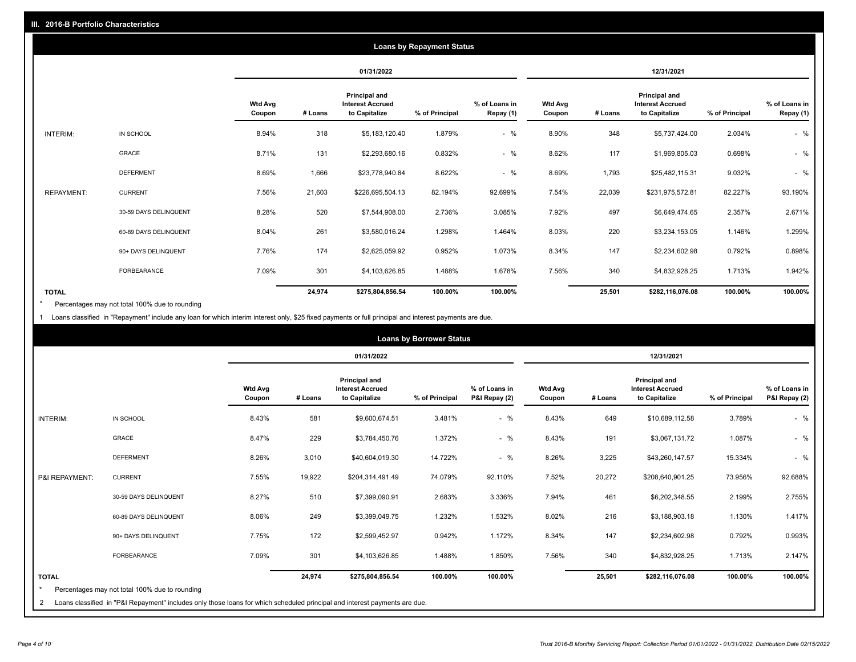|                   |                       |                          |         |                                                           | <b>Loans by Repayment Status</b> |                            |                          |         |                                                           |                |                            |
|-------------------|-----------------------|--------------------------|---------|-----------------------------------------------------------|----------------------------------|----------------------------|--------------------------|---------|-----------------------------------------------------------|----------------|----------------------------|
|                   |                       |                          |         | 01/31/2022                                                |                                  |                            |                          |         | 12/31/2021                                                |                |                            |
|                   |                       | <b>Wtd Avg</b><br>Coupon | # Loans | Principal and<br><b>Interest Accrued</b><br>to Capitalize | % of Principal                   | % of Loans in<br>Repay (1) | <b>Wtd Avg</b><br>Coupon | # Loans | Principal and<br><b>Interest Accrued</b><br>to Capitalize | % of Principal | % of Loans in<br>Repay (1) |
| INTERIM:          | IN SCHOOL             | 8.94%                    | 318     | \$5,183,120.40                                            | 1.879%                           | $-$ %                      | 8.90%                    | 348     | \$5,737,424.00                                            | 2.034%         | $-$ %                      |
|                   | <b>GRACE</b>          | 8.71%                    | 131     | \$2,293,680.16                                            | 0.832%                           | $-$ %                      | 8.62%                    | 117     | \$1,969,805.03                                            | 0.698%         | $-$ %                      |
|                   | <b>DEFERMENT</b>      | 8.69%                    | 1,666   | \$23,778,940.84                                           | 8.622%                           | $-$ %                      | 8.69%                    | 1,793   | \$25,482,115.31                                           | 9.032%         | $-$ %                      |
| <b>REPAYMENT:</b> | <b>CURRENT</b>        | 7.56%                    | 21,603  | \$226,695,504.13                                          | 82.194%                          | 92.699%                    | 7.54%                    | 22,039  | \$231,975,572.81                                          | 82.227%        | 93.190%                    |
|                   | 30-59 DAYS DELINQUENT | 8.28%                    | 520     | \$7,544,908.00                                            | 2.736%                           | 3.085%                     | 7.92%                    | 497     | \$6,649,474.65                                            | 2.357%         | 2.671%                     |
|                   | 60-89 DAYS DELINQUENT | 8.04%                    | 261     | \$3,580,016.24                                            | 1.298%                           | 1.464%                     | 8.03%                    | 220     | \$3,234,153.05                                            | 1.146%         | 1.299%                     |
|                   | 90+ DAYS DELINQUENT   | 7.76%                    | 174     | \$2,625,059.92                                            | 0.952%                           | 1.073%                     | 8.34%                    | 147     | \$2,234,602.98                                            | 0.792%         | 0.898%                     |
|                   | <b>FORBEARANCE</b>    | 7.09%                    | 301     | \$4,103,626.85                                            | 1.488%                           | 1.678%                     | 7.56%                    | 340     | \$4,832,928.25                                            | 1.713%         | 1.942%                     |
| <b>TOTAL</b>      |                       |                          | 24,974  | \$275,804,856.54                                          | 100.00%                          | 100.00%                    |                          | 25,501  | \$282,116,076.08                                          | 100.00%        | 100.00%                    |

Percentages may not total 100% due to rounding \*

1 Loans classified in "Repayment" include any loan for which interim interest only, \$25 fixed payments or full principal and interest payments are due.

|                              |                                                                                                                                                                              |                          |         |                                                           | <b>Loans by Borrower Status</b> |                                |                          |         |                                                           |                |                                |
|------------------------------|------------------------------------------------------------------------------------------------------------------------------------------------------------------------------|--------------------------|---------|-----------------------------------------------------------|---------------------------------|--------------------------------|--------------------------|---------|-----------------------------------------------------------|----------------|--------------------------------|
|                              |                                                                                                                                                                              |                          |         | 01/31/2022                                                |                                 |                                | 12/31/2021               |         |                                                           |                |                                |
|                              |                                                                                                                                                                              | <b>Wtd Avg</b><br>Coupon | # Loans | Principal and<br><b>Interest Accrued</b><br>to Capitalize | % of Principal                  | % of Loans in<br>P&I Repay (2) | <b>Wtd Avg</b><br>Coupon | # Loans | Principal and<br><b>Interest Accrued</b><br>to Capitalize | % of Principal | % of Loans in<br>P&I Repay (2) |
| <b>INTERIM:</b>              | IN SCHOOL                                                                                                                                                                    | 8.43%                    | 581     | \$9,600,674.51                                            | 3.481%                          | $-$ %                          | 8.43%                    | 649     | \$10,689,112.58                                           | 3.789%         | $-$ %                          |
|                              | <b>GRACE</b>                                                                                                                                                                 | 8.47%                    | 229     | \$3,784,450.76                                            | 1.372%                          | $-$ %                          | 8.43%                    | 191     | \$3,067,131.72                                            | 1.087%         | $-$ %                          |
|                              | <b>DEFERMENT</b>                                                                                                                                                             | 8.26%                    | 3,010   | \$40,604,019.30                                           | 14.722%                         | $-$ %                          | 8.26%                    | 3,225   | \$43,260,147.57                                           | 15.334%        | $-$ %                          |
| P&I REPAYMENT:               | <b>CURRENT</b>                                                                                                                                                               | 7.55%                    | 19,922  | \$204,314,491.49                                          | 74.079%                         | 92.110%                        | 7.52%                    | 20,272  | \$208,640,901.25                                          | 73.956%        | 92.688%                        |
|                              | 30-59 DAYS DELINQUENT                                                                                                                                                        | 8.27%                    | 510     | \$7,399,090.91                                            | 2.683%                          | 3.336%                         | 7.94%                    | 461     | \$6,202,348.55                                            | 2.199%         | 2.755%                         |
|                              | 60-89 DAYS DELINQUENT                                                                                                                                                        | 8.06%                    | 249     | \$3,399,049.75                                            | 1.232%                          | 1.532%                         | 8.02%                    | 216     | \$3,188,903.18                                            | 1.130%         | 1.417%                         |
|                              | 90+ DAYS DELINQUENT                                                                                                                                                          | 7.75%                    | 172     | \$2,599,452.97                                            | 0.942%                          | 1.172%                         | 8.34%                    | 147     | \$2,234,602.98                                            | 0.792%         | 0.993%                         |
|                              | FORBEARANCE                                                                                                                                                                  | 7.09%                    | 301     | \$4,103,626.85                                            | 1.488%                          | 1.850%                         | 7.56%                    | 340     | \$4,832,928.25                                            | 1.713%         | 2.147%                         |
| <b>TOTAL</b><br>$\star$<br>2 | Percentages may not total 100% due to rounding<br>Loans classified in "P&I Repayment" includes only those loans for which scheduled principal and interest payments are due. |                          | 24,974  | \$275,804,856.54                                          | 100.00%                         | 100.00%                        |                          | 25,501  | \$282,116,076.08                                          | 100.00%        | 100.00%                        |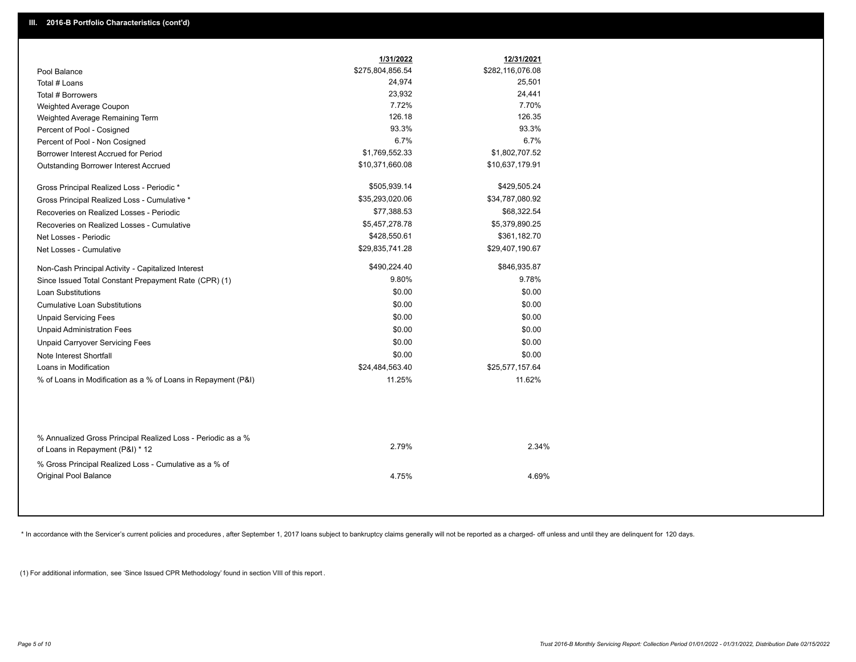| \$275,804,856.54<br>\$282,116,076.08<br>24,974<br>25,501<br>23,932<br>24,441<br>7.72%<br>7.70%<br>126.18<br>126.35<br>93.3%<br>93.3%<br>6.7%<br>6.7%<br>\$1,769,552.33<br>\$1,802,707.52<br>\$10,371,660.08<br>\$10,637,179.91<br>\$505,939.14<br>\$429,505.24<br>\$35,293,020.06<br>\$34,787,080.92<br>\$77,388.53<br>\$68,322.54<br>\$5,457,278.78<br>\$5,379,890.25<br>\$428,550.61<br>\$361,182.70<br>\$29,835,741.28<br>\$29,407,190.67<br>\$490,224.40<br>\$846,935.87<br>9.80%<br>9.78%<br>\$0.00<br>\$0.00<br>\$0.00<br>\$0.00<br>\$0.00<br>\$0.00<br>\$0.00<br>\$0.00<br>\$0.00<br>\$0.00<br>\$0.00<br>\$0.00<br>\$24,484,563.40<br>\$25,577,157.64<br>11.25%<br>11.62%<br>2.79%<br>2.34%<br>% Gross Principal Realized Loss - Cumulative as a % of |                                                                                                  | 1/31/2022 | 12/31/2021 |  |
|--------------------------------------------------------------------------------------------------------------------------------------------------------------------------------------------------------------------------------------------------------------------------------------------------------------------------------------------------------------------------------------------------------------------------------------------------------------------------------------------------------------------------------------------------------------------------------------------------------------------------------------------------------------------------------------------------------------------------------------------------------------|--------------------------------------------------------------------------------------------------|-----------|------------|--|
|                                                                                                                                                                                                                                                                                                                                                                                                                                                                                                                                                                                                                                                                                                                                                              | Pool Balance                                                                                     |           |            |  |
|                                                                                                                                                                                                                                                                                                                                                                                                                                                                                                                                                                                                                                                                                                                                                              | Total # Loans                                                                                    |           |            |  |
|                                                                                                                                                                                                                                                                                                                                                                                                                                                                                                                                                                                                                                                                                                                                                              | Total # Borrowers                                                                                |           |            |  |
|                                                                                                                                                                                                                                                                                                                                                                                                                                                                                                                                                                                                                                                                                                                                                              | Weighted Average Coupon                                                                          |           |            |  |
|                                                                                                                                                                                                                                                                                                                                                                                                                                                                                                                                                                                                                                                                                                                                                              | Weighted Average Remaining Term                                                                  |           |            |  |
|                                                                                                                                                                                                                                                                                                                                                                                                                                                                                                                                                                                                                                                                                                                                                              | Percent of Pool - Cosigned                                                                       |           |            |  |
|                                                                                                                                                                                                                                                                                                                                                                                                                                                                                                                                                                                                                                                                                                                                                              | Percent of Pool - Non Cosigned                                                                   |           |            |  |
|                                                                                                                                                                                                                                                                                                                                                                                                                                                                                                                                                                                                                                                                                                                                                              | Borrower Interest Accrued for Period                                                             |           |            |  |
|                                                                                                                                                                                                                                                                                                                                                                                                                                                                                                                                                                                                                                                                                                                                                              | Outstanding Borrower Interest Accrued                                                            |           |            |  |
|                                                                                                                                                                                                                                                                                                                                                                                                                                                                                                                                                                                                                                                                                                                                                              | Gross Principal Realized Loss - Periodic *                                                       |           |            |  |
|                                                                                                                                                                                                                                                                                                                                                                                                                                                                                                                                                                                                                                                                                                                                                              | Gross Principal Realized Loss - Cumulative *                                                     |           |            |  |
|                                                                                                                                                                                                                                                                                                                                                                                                                                                                                                                                                                                                                                                                                                                                                              | Recoveries on Realized Losses - Periodic                                                         |           |            |  |
|                                                                                                                                                                                                                                                                                                                                                                                                                                                                                                                                                                                                                                                                                                                                                              | Recoveries on Realized Losses - Cumulative                                                       |           |            |  |
|                                                                                                                                                                                                                                                                                                                                                                                                                                                                                                                                                                                                                                                                                                                                                              | Net Losses - Periodic                                                                            |           |            |  |
|                                                                                                                                                                                                                                                                                                                                                                                                                                                                                                                                                                                                                                                                                                                                                              | Net Losses - Cumulative                                                                          |           |            |  |
|                                                                                                                                                                                                                                                                                                                                                                                                                                                                                                                                                                                                                                                                                                                                                              | Non-Cash Principal Activity - Capitalized Interest                                               |           |            |  |
|                                                                                                                                                                                                                                                                                                                                                                                                                                                                                                                                                                                                                                                                                                                                                              | Since Issued Total Constant Prepayment Rate (CPR) (1)                                            |           |            |  |
|                                                                                                                                                                                                                                                                                                                                                                                                                                                                                                                                                                                                                                                                                                                                                              | <b>Loan Substitutions</b>                                                                        |           |            |  |
|                                                                                                                                                                                                                                                                                                                                                                                                                                                                                                                                                                                                                                                                                                                                                              | <b>Cumulative Loan Substitutions</b>                                                             |           |            |  |
|                                                                                                                                                                                                                                                                                                                                                                                                                                                                                                                                                                                                                                                                                                                                                              | <b>Unpaid Servicing Fees</b>                                                                     |           |            |  |
|                                                                                                                                                                                                                                                                                                                                                                                                                                                                                                                                                                                                                                                                                                                                                              | <b>Unpaid Administration Fees</b>                                                                |           |            |  |
|                                                                                                                                                                                                                                                                                                                                                                                                                                                                                                                                                                                                                                                                                                                                                              | <b>Unpaid Carryover Servicing Fees</b>                                                           |           |            |  |
|                                                                                                                                                                                                                                                                                                                                                                                                                                                                                                                                                                                                                                                                                                                                                              | Note Interest Shortfall                                                                          |           |            |  |
|                                                                                                                                                                                                                                                                                                                                                                                                                                                                                                                                                                                                                                                                                                                                                              | Loans in Modification                                                                            |           |            |  |
|                                                                                                                                                                                                                                                                                                                                                                                                                                                                                                                                                                                                                                                                                                                                                              | % of Loans in Modification as a % of Loans in Repayment (P&I)                                    |           |            |  |
|                                                                                                                                                                                                                                                                                                                                                                                                                                                                                                                                                                                                                                                                                                                                                              |                                                                                                  |           |            |  |
|                                                                                                                                                                                                                                                                                                                                                                                                                                                                                                                                                                                                                                                                                                                                                              | % Annualized Gross Principal Realized Loss - Periodic as a %<br>of Loans in Repayment (P&I) * 12 |           |            |  |
|                                                                                                                                                                                                                                                                                                                                                                                                                                                                                                                                                                                                                                                                                                                                                              |                                                                                                  |           |            |  |
|                                                                                                                                                                                                                                                                                                                                                                                                                                                                                                                                                                                                                                                                                                                                                              | Original Pool Balance                                                                            | 4.75%     | 4.69%      |  |

\* In accordance with the Servicer's current policies and procedures, after September 1, 2017 loans subject to bankruptcy claims generally will not be reported as a charged- off unless and until they are delinquent for 120

(1) For additional information, see 'Since Issued CPR Methodology' found in section VIII of this report .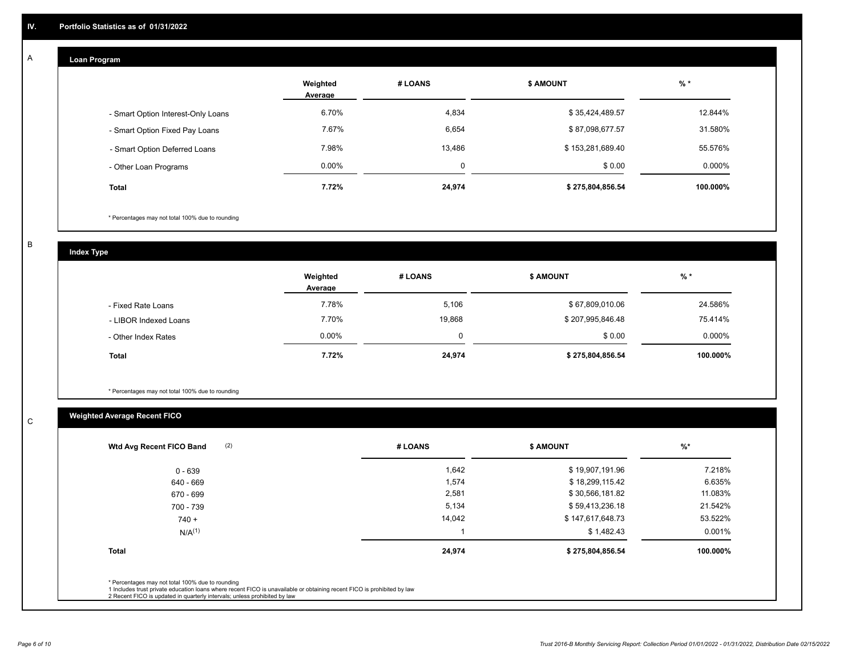#### **Loan Program**  A

|                                    | Weighted<br>Average | # LOANS | <b>\$ AMOUNT</b> | $%$ *    |
|------------------------------------|---------------------|---------|------------------|----------|
| - Smart Option Interest-Only Loans | 6.70%               | 4,834   | \$35,424,489.57  | 12.844%  |
| - Smart Option Fixed Pay Loans     | 7.67%               | 6,654   | \$87,098,677.57  | 31.580%  |
| - Smart Option Deferred Loans      | 7.98%               | 13.486  | \$153,281,689.40 | 55.576%  |
| - Other Loan Programs              | $0.00\%$            |         | \$0.00           | 0.000%   |
| <b>Total</b>                       | 7.72%               | 24,974  | \$275,804,856.54 | 100.000% |

\* Percentages may not total 100% due to rounding

B

C

**Index Type**

|                       | Weighted<br>Average | # LOANS  | <b>\$ AMOUNT</b> | $%$ *     |
|-----------------------|---------------------|----------|------------------|-----------|
| - Fixed Rate Loans    | 7.78%               | 5,106    | \$67,809,010.06  | 24.586%   |
| - LIBOR Indexed Loans | 7.70%               | 19,868   | \$207,995,846.48 | 75.414%   |
| - Other Index Rates   | $0.00\%$            | $\Omega$ | \$0.00           | $0.000\%$ |
| <b>Total</b>          | 7.72%               | 24,974   | \$275,804,856.54 | 100.000%  |

\* Percentages may not total 100% due to rounding

## **Weighted Average Recent FICO**

| (2)<br>Wtd Avg Recent FICO Band                                                                                                                                                                                                                          | # LOANS | <b>S AMOUNT</b>  | %        |
|----------------------------------------------------------------------------------------------------------------------------------------------------------------------------------------------------------------------------------------------------------|---------|------------------|----------|
| $0 - 639$                                                                                                                                                                                                                                                | 1,642   | \$19,907,191.96  | 7.218%   |
| 640 - 669                                                                                                                                                                                                                                                | 1,574   | \$18,299,115.42  | 6.635%   |
| 670 - 699                                                                                                                                                                                                                                                | 2,581   | \$30,566,181.82  | 11.083%  |
| 700 - 739                                                                                                                                                                                                                                                | 5,134   | \$59,413,236.18  | 21.542%  |
| $740 +$                                                                                                                                                                                                                                                  | 14,042  | \$147,617,648.73 | 53.522%  |
| $N/A^{(1)}$                                                                                                                                                                                                                                              |         | \$1,482.43       | 0.001%   |
| <b>Total</b>                                                                                                                                                                                                                                             | 24,974  | \$275,804,856.54 | 100.000% |
| * Percentages may not total 100% due to rounding<br>1 Includes trust private education loans where recent FICO is unavailable or obtaining recent FICO is prohibited by law<br>2 Recent FICO is updated in quarterly intervals; unless prohibited by law |         |                  |          |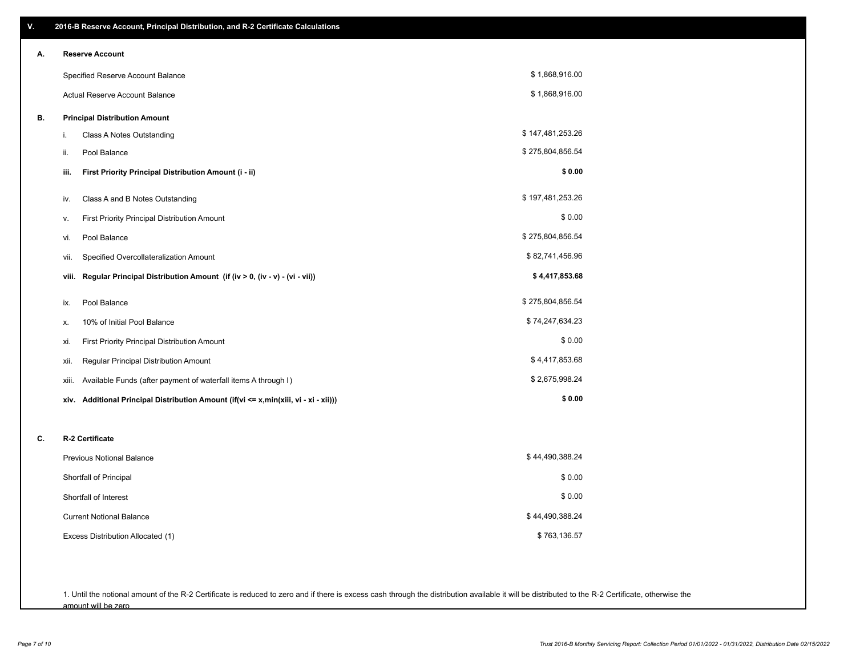| V. | 2016-B Reserve Account, Principal Distribution, and R-2 Certificate Calculations        |                  |
|----|-----------------------------------------------------------------------------------------|------------------|
| А. | <b>Reserve Account</b>                                                                  |                  |
|    | Specified Reserve Account Balance                                                       | \$1,868,916.00   |
|    | Actual Reserve Account Balance                                                          | \$1,868,916.00   |
| В. | <b>Principal Distribution Amount</b>                                                    |                  |
|    | Class A Notes Outstanding<br>i.                                                         | \$147,481,253.26 |
|    | Pool Balance<br>ii.                                                                     | \$275,804,856.54 |
|    | First Priority Principal Distribution Amount (i - ii)<br>iii.                           | \$0.00           |
|    | Class A and B Notes Outstanding<br>iv.                                                  | \$197,481,253.26 |
|    | First Priority Principal Distribution Amount<br>v.                                      | \$0.00           |
|    | Pool Balance<br>vi.                                                                     | \$275,804,856.54 |
|    | Specified Overcollateralization Amount<br>vii.                                          | \$82,741,456.96  |
|    | Regular Principal Distribution Amount (if (iv > 0, (iv - v) - (vi - vii))<br>viii.      | \$4,417,853.68   |
|    | Pool Balance<br>ix.                                                                     | \$275,804,856.54 |
|    | 10% of Initial Pool Balance<br>х.                                                       | \$74,247,634.23  |
|    | First Priority Principal Distribution Amount<br>xi.                                     | \$0.00           |
|    | Regular Principal Distribution Amount<br>xii.                                           | \$4,417,853.68   |
|    | Available Funds (after payment of waterfall items A through I)<br>xiii.                 | \$2,675,998.24   |
|    | Additional Principal Distribution Amount (if(vi <= x,min(xiii, vi - xi - xii)))<br>xiv. | \$0.00           |
|    |                                                                                         |                  |
| C. | R-2 Certificate                                                                         |                  |
|    | <b>Previous Notional Balance</b>                                                        | \$44,490,388.24  |
|    | Shortfall of Principal                                                                  | \$0.00           |
|    | Shortfall of Interest                                                                   | \$0.00           |
|    | <b>Current Notional Balance</b>                                                         | \$44,490,388.24  |
|    | Excess Distribution Allocated (1)                                                       | \$763,136.57     |
|    |                                                                                         |                  |
|    |                                                                                         |                  |

1. Until the notional amount of the R-2 Certificate is reduced to zero and if there is excess cash through the distribution available it will be distributed to the R-2 Certificate, otherwise the amount will be zero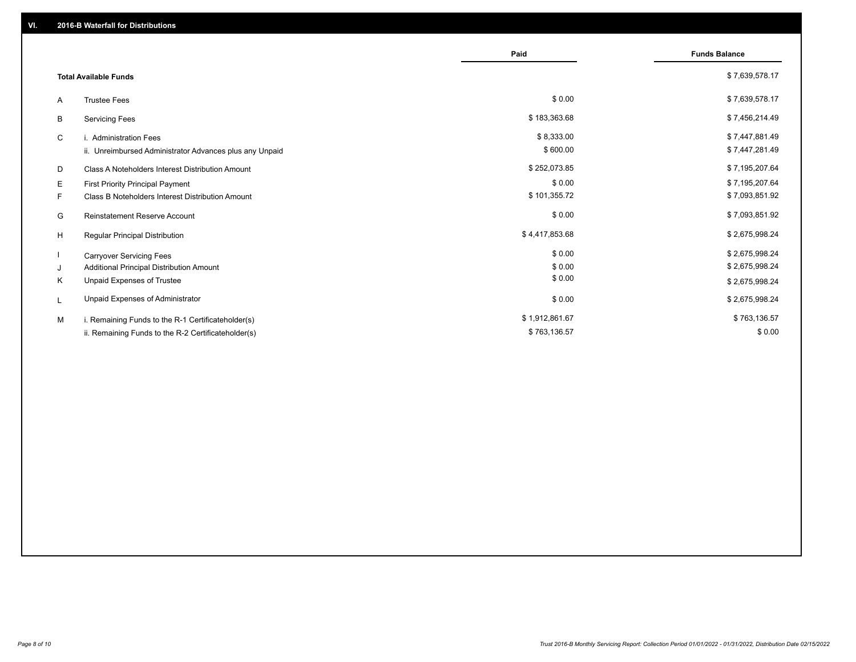|    |                                                         | Paid           | <b>Funds Balance</b> |
|----|---------------------------------------------------------|----------------|----------------------|
|    | <b>Total Available Funds</b>                            |                | \$7,639,578.17       |
| A  | <b>Trustee Fees</b>                                     | \$0.00         | \$7,639,578.17       |
| В  | <b>Servicing Fees</b>                                   | \$183,363.68   | \$7,456,214.49       |
| C  | i. Administration Fees                                  | \$8,333.00     | \$7,447,881.49       |
|    | ii. Unreimbursed Administrator Advances plus any Unpaid | \$600.00       | \$7,447,281.49       |
| D  | Class A Noteholders Interest Distribution Amount        | \$252,073.85   | \$7,195,207.64       |
| Е  | <b>First Priority Principal Payment</b>                 | \$0.00         | \$7,195,207.64       |
| F. | Class B Noteholders Interest Distribution Amount        | \$101,355.72   | \$7,093,851.92       |
| G  | <b>Reinstatement Reserve Account</b>                    | \$0.00         | \$7,093,851.92       |
| H  | Regular Principal Distribution                          | \$4,417,853.68 | \$2,675,998.24       |
|    | <b>Carryover Servicing Fees</b>                         | \$0.00         | \$2,675,998.24       |
| J  | Additional Principal Distribution Amount                | \$0.00         | \$2,675,998.24       |
| Κ  | Unpaid Expenses of Trustee                              | \$0.00         | \$2,675,998.24       |
| L  | Unpaid Expenses of Administrator                        | \$0.00         | \$2,675,998.24       |
| M  | i. Remaining Funds to the R-1 Certificateholder(s)      | \$1,912,861.67 | \$763,136.57         |
|    | ii. Remaining Funds to the R-2 Certificateholder(s)     | \$763,136.57   | \$0.00               |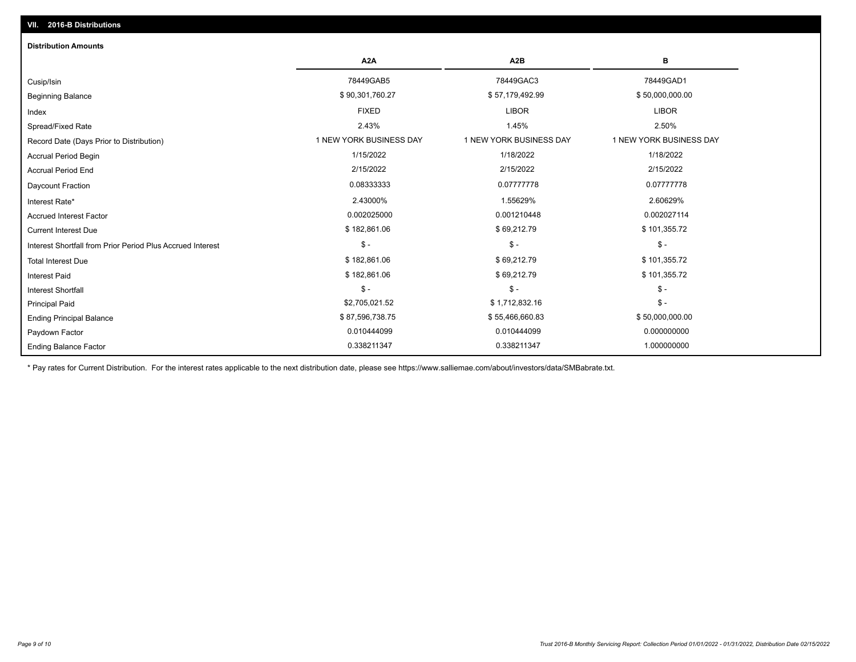## Ending Balance Factor Paydown Factor 0.010444099 0.010444099 0.000000000 Ending Principal Balance \$ 87,596,738.75 \$67,596,738.75 \$55,466,660.83 \$55,466,660.83 \$50,000,000.00 Principal Paid \$2,705,021.52 \$ 1,712,832.16 \$ - \$ - \$ - \$ - Interest Shortfall \$ 182,861.06 \$ 69,212.79 \$ 101,355.72 Interest Paid Total Interest Due \$ 182,861.06 \$ 69,212.79 \$ 101,355.72 \$ - \$ - \$ - Interest Shortfall from Prior Period Plus Accrued Interest Current Interest Due \$ 182,861.06 \$ 69,212.79 \$ 101,355.72 Accrued Interest Factor 0.002027114 0.002025000 0.002025000 0.001210448 0.0001210448 0.002027114 Interest Rate\* 2.43000% 1.55629% 2.60629% Daycount Fraction 0.08333333 0.07777778 0.07777778 Accrual Period End 2/15/2022 2/15/2022 2/15/2022 Accrual Period Begin 1/15/2022 1/18/2022 1/18/2022 Record Date (Days Prior to Distribution) **1 NEW YORK BUSINESS DAY** 1 NEW YORK BUSINESS DAY 1 NEW YORK BUSINESS DAY Spread/Fixed Rate 2.43% 1.45% 2.50% Index FIXED LIBOR LIBOR Beginning Balance \$ 50,000,000.00 \$ \$90,301,760.27 \$ \$90,301,760.27 \$ \$57,179,492.99 \$ \$50,000,000.00 \$ \$50,000,000 Cusip/Isin 78449GAB5 78449GAC3 78449GAD1 **A2A A2B B** 0.338211347 0.338211347 1.000000000 **Distribution Amounts**

\* Pay rates for Current Distribution. For the interest rates applicable to the next distribution date, please see https://www.salliemae.com/about/investors/data/SMBabrate.txt.

**VII. 2016-B Distributions**